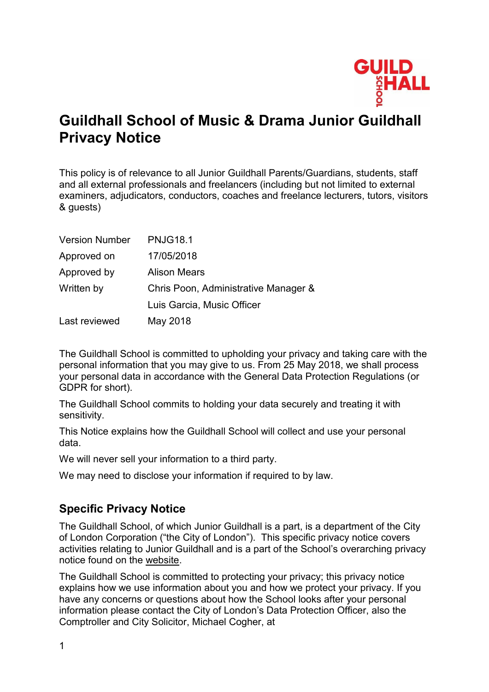

# **Guildhall School of Music & Drama Junior Guildhall Privacy Notice**

This policy is of relevance to all Junior Guildhall Parents/Guardians, students, staff and all external professionals and freelancers (including but not limited to external examiners, adjudicators, conductors, coaches and freelance lecturers, tutors, visitors & guests)

| <b>Version Number</b> | <b>PNJG18.1</b>                      |
|-----------------------|--------------------------------------|
| Approved on           | 17/05/2018                           |
| Approved by           | <b>Alison Mears</b>                  |
| Written by            | Chris Poon, Administrative Manager & |
|                       | Luis Garcia, Music Officer           |
| Last reviewed         | May 2018                             |

The Guildhall School is committed to upholding your privacy and taking care with the personal information that you may give to us. From 25 May 2018, we shall process your personal data in accordance with the General Data Protection Regulations (or GDPR for short).

The Guildhall School commits to holding your data securely and treating it with sensitivity.

This Notice explains how the Guildhall School will collect and use your personal data.

We will never sell your information to a third party.

We may need to disclose your information if required to by law.

# **Specific Privacy Notice**

The Guildhall School, of which Junior Guildhall is a part, is a department of the City of London Corporation ("the City of London"). This specific privacy notice covers activities relating to Junior Guildhall and is a part of the School's overarching privacy notice found on the [website.](http://www.gsmd.ac.uk/)

The Guildhall School is committed to protecting your privacy; this privacy notice explains how we use information about you and how we protect your privacy. If you have any concerns or questions about how the School looks after your personal information please contact the City of London's Data Protection Officer, also the Comptroller and City Solicitor, Michael Cogher, at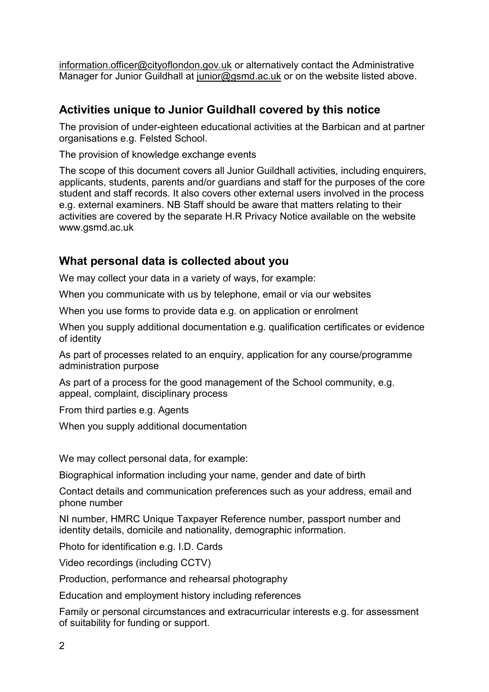[information.officer@cityoflondon.gov.uk](mailto:information.officer@cityoflondon.gov.uk) or alternatively contact the Administrative Manager for Junior Guildhall at [junior@gsmd.ac.uk](mailto:junior@gsmd.ac.uk) or on the website listed above.

# **Activities unique to Junior Guildhall covered by this notice**

The provision of under-eighteen educational activities at the Barbican and at partner organisations e.g. Felsted School.

The provision of knowledge exchange events

The scope of this document covers all Junior Guildhall activities, including enquirers, applicants, students, parents and/or guardians and staff for the purposes of the core student and staff records. It also covers other external users involved in the process e.g. external examiners. NB Staff should be aware that matters relating to their activities are covered by the separate H.R Privacy Notice available on the website www.gsmd.ac.uk

# **What personal data is collected about you**

We may collect your data in a variety of ways, for example:

When you communicate with us by telephone, email or via our websites

When you use forms to provide data e.g. on application or enrolment

When you supply additional documentation e.g. qualification certificates or evidence of identity

As part of processes related to an enquiry, application for any course/programme administration purpose

As part of a process for the good management of the School community, e.g. appeal, complaint, disciplinary process

From third parties e.g. Agents

When you supply additional documentation

We may collect personal data, for example:

Biographical information including your name, gender and date of birth

Contact details and communication preferences such as your address, email and phone number

NI number, HMRC Unique Taxpayer Reference number, passport number and identity details, domicile and nationality, demographic information.

Photo for identification e.g. I.D. Cards

Video recordings (including CCTV)

Production, performance and rehearsal photography

Education and employment history including references

Family or personal circumstances and extracurricular interests e.g. for assessment of suitability for funding or support.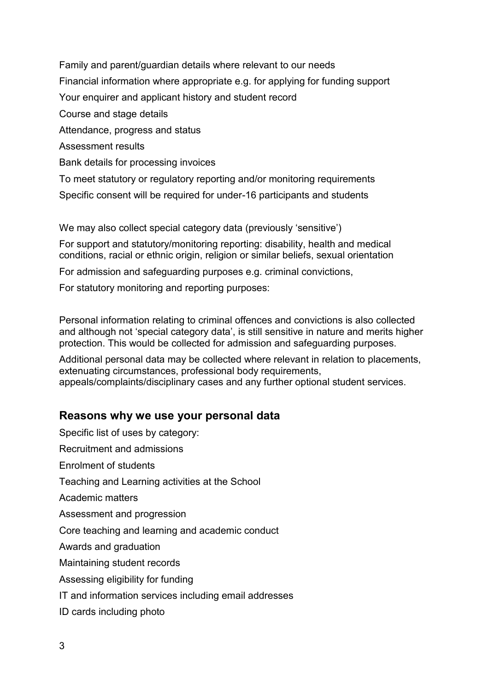Family and parent/guardian details where relevant to our needs Financial information where appropriate e.g. for applying for funding support Your enquirer and applicant history and student record Course and stage details Attendance, progress and status Assessment results Bank details for processing invoices To meet statutory or regulatory reporting and/or monitoring requirements Specific consent will be required for under-16 participants and students

We may also collect special category data (previously 'sensitive')

For support and statutory/monitoring reporting: disability, health and medical conditions, racial or ethnic origin, religion or similar beliefs, sexual orientation

For admission and safeguarding purposes e.g. criminal convictions,

For statutory monitoring and reporting purposes:

Personal information relating to criminal offences and convictions is also collected and although not 'special category data', is still sensitive in nature and merits higher protection. This would be collected for admission and safeguarding purposes.

Additional personal data may be collected where relevant in relation to placements, extenuating circumstances, professional body requirements, appeals/complaints/disciplinary cases and any further optional student services.

#### **Reasons why we use your personal data**

Specific list of uses by category: Recruitment and admissions Enrolment of students Teaching and Learning activities at the School Academic matters Assessment and progression Core teaching and learning and academic conduct Awards and graduation Maintaining student records Assessing eligibility for funding IT and information services including email addresses ID cards including photo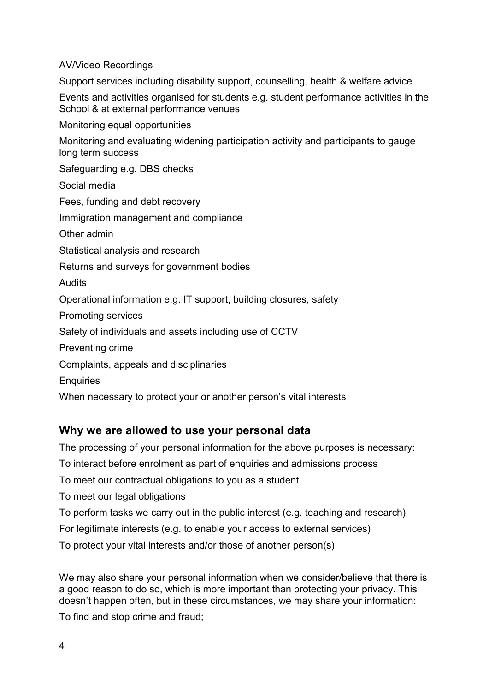AV/Video Recordings

Support services including disability support, counselling, health & welfare advice

Events and activities organised for students e.g. student performance activities in the School & at external performance venues

Monitoring equal opportunities

Monitoring and evaluating widening participation activity and participants to gauge long term success

Safeguarding e.g. DBS checks

Social media

Fees, funding and debt recovery

Immigration management and compliance

Other admin

Statistical analysis and research

Returns and surveys for government bodies

Audits

Operational information e.g. IT support, building closures, safety

Promoting services

Safety of individuals and assets including use of CCTV

Preventing crime

Complaints, appeals and disciplinaries

**Enquiries** 

When necessary to protect your or another person's vital interests

#### **Why we are allowed to use your personal data**

The processing of your personal information for the above purposes is necessary:

To interact before enrolment as part of enquiries and admissions process

To meet our contractual obligations to you as a student

To meet our legal obligations

To perform tasks we carry out in the public interest (e.g. teaching and research)

For legitimate interests (e.g. to enable your access to external services)

To protect your vital interests and/or those of another person(s)

We may also share your personal information when we consider/believe that there is a good reason to do so, which is more important than protecting your privacy. This doesn't happen often, but in these circumstances, we may share your information:

To find and stop crime and fraud;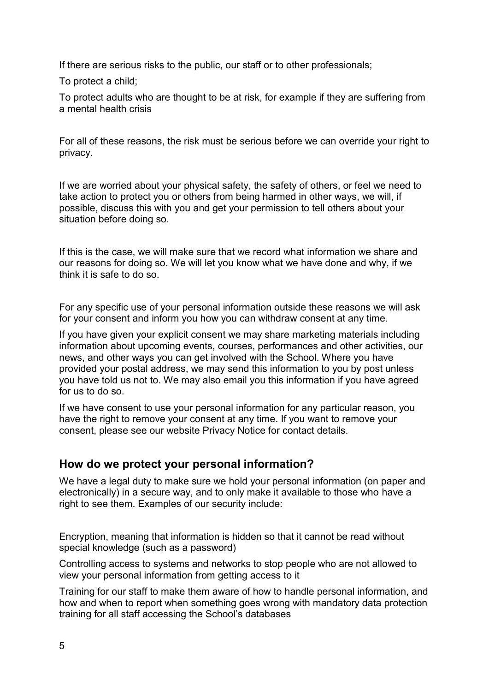If there are serious risks to the public, our staff or to other professionals;

To protect a child;

To protect adults who are thought to be at risk, for example if they are suffering from a mental health crisis

For all of these reasons, the risk must be serious before we can override your right to privacy.

If we are worried about your physical safety, the safety of others, or feel we need to take action to protect you or others from being harmed in other ways, we will, if possible, discuss this with you and get your permission to tell others about your situation before doing so.

If this is the case, we will make sure that we record what information we share and our reasons for doing so. We will let you know what we have done and why, if we think it is safe to do so.

For any specific use of your personal information outside these reasons we will ask for your consent and inform you how you can withdraw consent at any time.

If you have given your explicit consent we may share marketing materials including information about upcoming events, courses, performances and other activities, our news, and other ways you can get involved with the School. Where you have provided your postal address, we may send this information to you by post unless you have told us not to. We may also email you this information if you have agreed for us to do so.

If we have consent to use your personal information for any particular reason, you have the right to remove your consent at any time. If you want to remove your consent, please see our website Privacy Notice for contact details.

# **How do we protect your personal information?**

We have a legal duty to make sure we hold your personal information (on paper and electronically) in a secure way, and to only make it available to those who have a right to see them. Examples of our security include:

Encryption, meaning that information is hidden so that it cannot be read without special knowledge (such as a password)

Controlling access to systems and networks to stop people who are not allowed to view your personal information from getting access to it

Training for our staff to make them aware of how to handle personal information, and how and when to report when something goes wrong with mandatory data protection training for all staff accessing the School's databases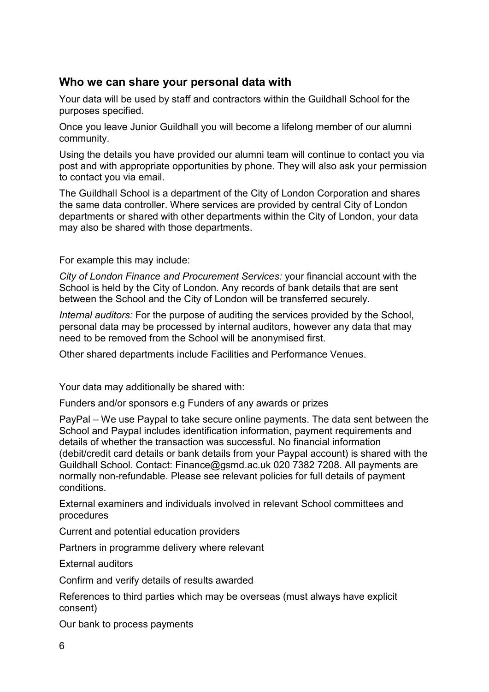# **Who we can share your personal data with**

Your data will be used by staff and contractors within the Guildhall School for the purposes specified.

Once you leave Junior Guildhall you will become a lifelong member of our alumni community.

Using the details you have provided our alumni team will continue to contact you via post and with appropriate opportunities by phone. They will also ask your permission to contact you via email.

The Guildhall School is a department of the City of London Corporation and shares the same data controller. Where services are provided by central City of London departments or shared with other departments within the City of London, your data may also be shared with those departments.

For example this may include:

*City of London Finance and Procurement Services:* your financial account with the School is held by the City of London. Any records of bank details that are sent between the School and the City of London will be transferred securely.

*Internal auditors:* For the purpose of auditing the services provided by the School, personal data may be processed by internal auditors, however any data that may need to be removed from the School will be anonymised first.

Other shared departments include Facilities and Performance Venues.

Your data may additionally be shared with:

Funders and/or sponsors e.g Funders of any awards or prizes

PayPal – We use Paypal to take secure online payments. The data sent between the School and Paypal includes identification information, payment requirements and details of whether the transaction was successful. No financial information (debit/credit card details or bank details from your Paypal account) is shared with the Guildhall School. Contact: Finance@gsmd.ac.uk 020 7382 7208. All payments are normally non-refundable. Please see relevant policies for full details of payment conditions.

External examiners and individuals involved in relevant School committees and procedures

Current and potential education providers

Partners in programme delivery where relevant

External auditors

Confirm and verify details of results awarded

References to third parties which may be overseas (must always have explicit consent)

Our bank to process payments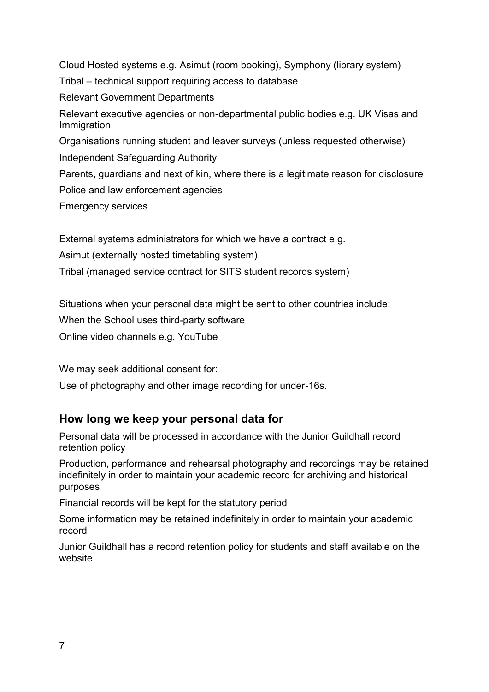Cloud Hosted systems e.g. Asimut (room booking), Symphony (library system) Tribal – technical support requiring access to database Relevant Government Departments Relevant executive agencies or non-departmental public bodies e.g. UK Visas and Immigration Organisations running student and leaver surveys (unless requested otherwise) Independent Safeguarding Authority Parents, guardians and next of kin, where there is a legitimate reason for disclosure Police and law enforcement agencies

Emergency services

External systems administrators for which we have a contract e.g.

Asimut (externally hosted timetabling system)

Tribal (managed service contract for SITS student records system)

Situations when your personal data might be sent to other countries include:

When the School uses third-party software

Online video channels e.g. YouTube

We may seek additional consent for:

Use of photography and other image recording for under-16s.

#### **How long we keep your personal data for**

Personal data will be processed in accordance with the Junior Guildhall record retention policy

Production, performance and rehearsal photography and recordings may be retained indefinitely in order to maintain your academic record for archiving and historical purposes

Financial records will be kept for the statutory period

Some information may be retained indefinitely in order to maintain your academic record

Junior Guildhall has a record retention policy for students and staff available on the website